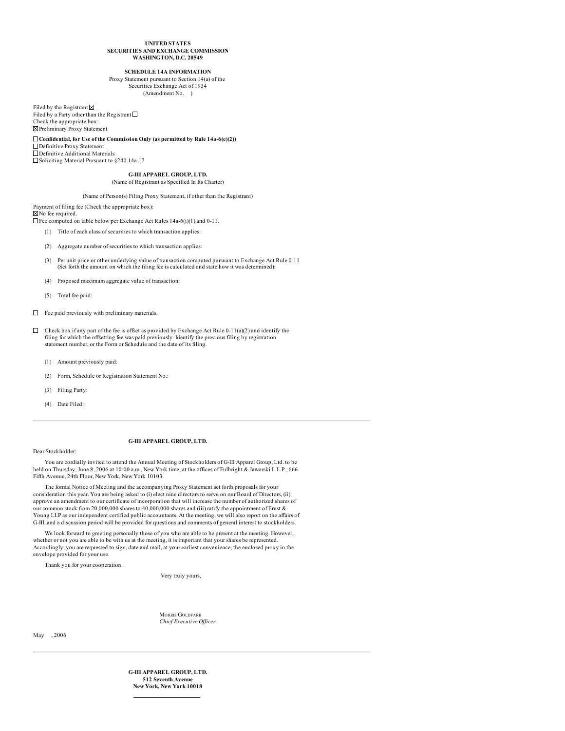#### **UNITED STATES SECURITIES AND EXCHANGE COMMISSION WASHINGTON, D.C. 20549**

## **SCHEDULE 14A INFORMATION**

Proxy Statement pursuant to Section 14(a) of the Securities Exchange Act of 1934 (Amendment No. )

Filed by the Registrant  $\boxtimes$ Filed by a Party other than the Registrant  $\square$ Check the appropriate box: Preliminary Proxy Statement

**Confidential, for Use of the Commission Only (as permitted by Rule 14a-6(e)(2))** Definitive Proxy Statement Definitive Additional Materials Soliciting Material Pursuant to §240.14a-12

**G-III APPAREL GROUP, LTD.**

### (Name of Registrant as Specified In Its Charter)

# (Name of Person(s) Filing Proxy Statement, if other than the Registrant)

Payment of filing fee (Check the appropriate box):

No fee required.

Fee computed on table below per Exchange Act Rules 14a-6(i)(1) and 0-11.

(1) Title of each class of securities to which transaction applies:

- (2) Aggregate number of securities to which transaction applies:
- (3) Per unit price or other underlying value of transaction computed pursuant to Exchange Act Rule 0-11 (Set forth the amount on which the filing fee is calculated and state how it was determined):
- (4) Proposed maximum aggregate value of transaction:
- (5) Total fee paid:
- $\Box$  Fee paid previously with preliminary materials.
- $\Box$ Check box if any part of the fee is offset as provided by Exchange Act Rule 0-11(a)(2) and identify the filing for which the offsetting fee was paid previously. Identify the previous filing by registration statement number, or the Form or Schedule and the date of its filing.
	- (1) Amount previously paid:
	- (2) Form, Schedule or Registration Statement No.:
	- (3) Filing Party:
	- (4) Date Filed:

## **G-III APPAREL GROUP, LTD.**

Dear Stockholder:

You are cordially invited to attend the Annual Meeting of Stockholders of G-III Apparel Group, Ltd. to be held on Thursday, June 8, 2006 at 10:00 a.m., New York time, at the offices of Fulbright & Jaworski L.L.P., 666 Fifth Avenue, 24th Floor, New York, New York 10103.

The formal Notice of Meeting and the accompanying Proxy Statement set forth proposals for your consideration this year. You are being asked to (i) elect nine directors to serve on our Board of Directors, (ii) approve an amendment to our certificate of incorporation that will increase the number of authorized shares of our common stock from 20,000,000 shares to 40,000,000 shares and (iii) ratify the appointment of Ernst & Young LLP as our independent certified public accountants. At the meeting, we will also report on the affairs of G-III, and a discussion period will be provided for questions and comments of general interest to stockholders.

We look forward to greeting personally those of you who are able to be present at the meeting. However, whether or not you are able to be with us at the meeting, it is important that your shares be represented. Accordingly, you are requested to sign, date and mail, at your earliest convenience, the enclosed proxy in the envelope provided for your use.

Thank you for your cooperation.

Very truly yours,

MORRIS GOLDFARB *Chief Executive Of icer*

May , 2006

**G-III APPAREL GROUP, LTD. 512 Seventh Avenue New York, New York 10018**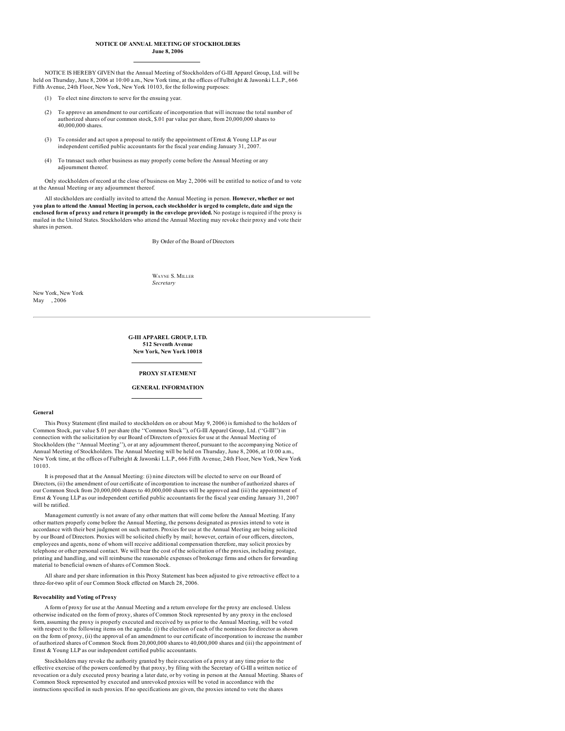### **NOTICE OF ANNUAL MEETING OF STOCKHOLDERS June 8, 2006**

NOTICE IS HEREBY GIVEN that the Annual Meeting of Stockholders of G-III Apparel Group, Ltd. will be held on Thursday, June 8, 2006 at 10:00 a.m., New York time, at the offices of Fulbright & Jaworski L.L.P., 666 Fifth Avenue, 24th Floor, New York, New York 10103, for the following purposes:

- (1) To elect nine directors to serve for the ensuing year.
- (2) To approve an amendment to our certificate of incorporation that will increase the total number of authorized shares of our common stock, \$.01 par value per share, from 20,000,000 shares to 40,000,000 shares.
- (3) To consider and act upon a proposal to ratify the appointment of Ernst & Young LLP as our independent certified public accountants for the fiscal year ending January 31, 2007.
- (4) To transact such other business as may properly come before the Annual Meeting or any adjournment thereof.

Only stockholders of record at the close of business on May 2, 2006 will be entitled to notice of and to vote at the Annual Meeting or any adjournment thereof.

All stockholders are cordially invited to attend the Annual Meeting in person. **However, whether or not** you plan to attend the Annual Meeting in person, each stockholder is urged to complete, date and sign the **enclosed form of proxy and return it promptly in the envelope provided.** No postage is required if the proxy is mailed in the United States. Stockholders who attend the Annual Meeting may revoke their proxy and vote their shares in person.

By Order of the Board of Directors

WAYNE S. MILLER *Secretary*

New York, New York May , 2006

### **G-III APPAREL GROUP, LTD. 512 Seventh Avenue New York, New York 10018**

### **PROXY STATEMENT**

### **GENERAL INFORMATION**

**General**

This Proxy Statement (first mailed to stockholders on or about May 9, 2006) is furnished to the holders of Common Stock, par value \$.01 per share (the ''Common Stock''), of G-III Apparel Group, Ltd. (''G-III'') in connection with the solicitation by our Board of Directors of proxies for use at the Annual Meeting of Stockholders (the ''Annual Meeting''), or at any adjournment thereof, pursuant to the accompanying Notice of Annual Meeting of Stockholders. The Annual Meeting will be held on Thursday, June 8, 2006, at 10:00 a.m., New York time, at the offices of Fulbright & Jaworski L.L.P., 666 Fifth Avenue, 24th Floor, New York, New York 10103.

It is proposed that at the Annual Meeting: (i) nine directors will be elected to serve on our Board of Directors, (ii) the amendment of our certificate of incorporation to increase the number of authorized shares of our Common Stock from 20,000,000 shares to 40,000,000 shares will be approved and (iii) the appointment of Ernst & Young LLP as our independent certified public accountants for the fiscal year ending January 31, 2007 will be ratified

Management currently is not aware of any other matters that will come before the Annual Meeting. If any other matters properly come before the Annual Meeting, the persons designated as proxies intend to vote in accordance with their best judgment on such matters. Proxies for use at the Annual Meeting are being solicited by our Board of Directors. Proxies will be solicited chiefly by mail; however, certain of our officers, directors, employees and agents, none of whom will receive additional compensation therefore, may solicit proxies by telephone or other personal contact. We will bear the cost of the solicitation of the proxies, including postage, printing and handling, and will reimburse the reasonable expenses of brokerage firms and others for forwarding material to beneficial owners of shares of Common Stock.

All share and per share information in this Proxy Statement has been adjusted to give retroactive effect to a three-for-two split of our Common Stock effected on March 28, 2006.

### **Revocability and Voting of Proxy**

A form of proxy for use at the Annual Meeting and a return envelope for the proxy are enclosed. Unless otherwise indicated on the form of proxy, shares of Common Stock represented by any proxy in the enclosed form, assuming the proxy is properly executed and received by us prior to the Annual Meeting, will be voted with respect to the following items on the agenda: (i) the election of each of the nominees for director as shown on the form of proxy, (ii) the approval of an amendment to our certificate of incorporation to increase the number of authorized shares of Common Stock from 20,000,000 shares to 40,000,000 shares and (iii) the appointment of Ernst & Young LLP as our independent certified public accountants.

Stockholders may revoke the authority granted by their execution of a proxy at any time prior to the effective exercise of the powers conferred by that proxy, by filing with the Secretary of G-III a written notice of revocation or a duly executed proxy bearing a later date, or by voting in person at the Annual Meeting. Shares of Common Stock represented by executed and unrevoked proxies will be voted in accordance with the instructions specified in such proxies. If no specifications are given, the proxies intend to vote the shares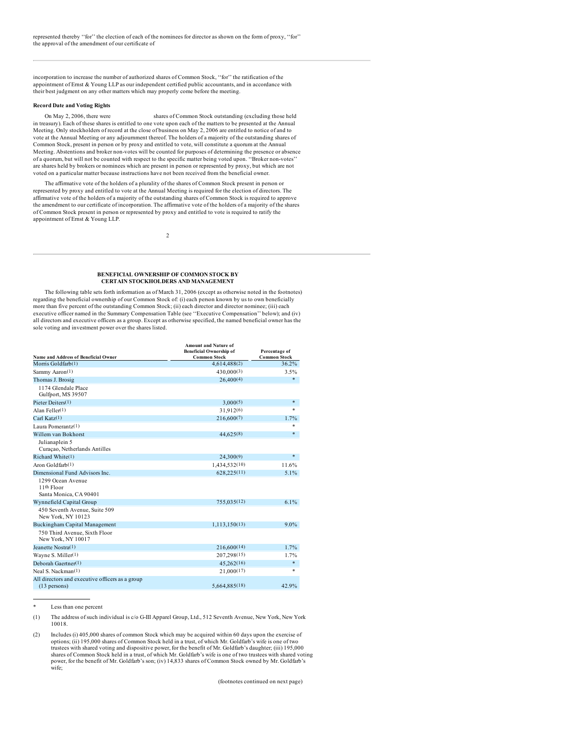incorporation to increase the number of authorized shares of Common Stock, ''for'' the ratification of the appointment of Ernst & Young LLP as our independent certified public accountants, and in accordance with their best judgment on any other matters which may properly come before the meeting.

# **Record Date and Voting Rights**

On May 2, 2006, there were shares of Common Stock outstanding (excluding those held in treasury). Each of these shares is entitled to one vote upon each of the matters to be presented at the Annual Meeting. Only stockholders of record at the close of business on May 2, 2006 are entitled to notice of and to vote at the Annual Meeting or any adjournment thereof. The holders of a majority of the outstanding shares of Common Stock, present in person or by proxy and entitled to vote, will constitute a quorum at the Annual Meeting. Abstentions and broker non-votes will be counted for purposes of determining the presence or absence of a quorum, but will not be counted with respect to the specific matter being voted upon. ''Broker non-votes'' are shares held by brokers or nominees which are present in person or represented by proxy, but which are not voted on a particular matter because instructions have not been received from the beneficial owner.

The affirmative vote of the holders of a plurality of the shares of Common Stock present in person or represented by proxy and entitled to vote at the Annual Meeting is required for the election of directors. The affirmative vote of the holders of a majority of the outstanding shares of Common Stock is required to approve the amendment to our certificate of incorporation. The affirmative vote of the holders of a majority of the shares of Common Stock present in person or represented by proxy and entitled to vote is required to ratify the appointment of Ernst & Young LLP.

 $\mathfrak{Z}$ 

### **BENEFICIAL OWNERSHIP OF COMMON STOCK BY CERTAIN STOCKHOLDERS AND MANAGEMENT**

The following table sets forth information as of March 31, 2006 (except as otherwise noted in the footnotes) regarding the beneficial ownership of our Common Stock of: (i) each person known by us to own beneficially more than five percent of the outstanding Common Stock; (ii) each director and director nominee; (iii) each executive officer named in the Summary Compensation Table (see ''Executive Compensation'' below); and (iv) all directors and executive officers as a group. Except as otherwise specified, the named beneficial owner has the sole voting and investment power over the shares listed.

|                                                                   | <b>Amount and Nature of</b><br><b>Beneficial Ownership of</b> | Percentage of                |
|-------------------------------------------------------------------|---------------------------------------------------------------|------------------------------|
| <b>Name and Address of Beneficial Owner</b><br>Morris Goldfarb(1) | <b>Common Stock</b>                                           | <b>Common Stock</b><br>36.2% |
|                                                                   | 4,614,488(2)                                                  |                              |
| Sammy Aaron(1)                                                    | 430,000(3)                                                    | 3.5%                         |
| Thomas J. Brosig                                                  | 26,400(4)                                                     | *                            |
| 1174 Glendale Place<br>Gulfport, MS 39507                         |                                                               |                              |
| Pieter Deiters(1)                                                 | 3,000(5)                                                      | *                            |
| Alan Feller $(1)$                                                 | 31.912(6)                                                     | $\ast$                       |
| Carl Katz $(1)$                                                   | 216,600(7)                                                    | 1.7%                         |
| Laura Pomerantz $(1)$                                             |                                                               | *                            |
| Willem van Bokhorst                                               | 44,625(8)                                                     | $\ast$                       |
| Julianaplein 5<br>Curação, Netherlands Antilles                   |                                                               |                              |
| Richard White(1)                                                  | 24,300(9)                                                     | $\ast$                       |
| Aron Goldfarb(1)                                                  | 1,434,532(10)                                                 | 11.6%                        |
| Dimensional Fund Advisors Inc.                                    | 628,225(11)                                                   | 5.1%                         |
| 1299 Ocean Avenue<br>11th Floor<br>Santa Monica, CA 90401         |                                                               |                              |
| Wynnefield Capital Group                                          | 755,035(12)                                                   | 6.1%                         |
| 450 Seventh Avenue, Suite 509<br>New York, NY 10123               |                                                               |                              |
| Buckingham Capital Management                                     | 1,113,150(13)                                                 | $9.0\%$                      |
| 750 Third Avenue, Sixth Floor<br>New York, NY 10017               |                                                               |                              |
| Jeanette Nostra(1)                                                | 216,600(14)                                                   | 1.7%                         |
| Wayne S. Miller(1)                                                | 207,298(15)                                                   | 1.7%                         |
| Deborah Gaertner(1)                                               | 45,262(16)                                                    | *                            |
| Neal S. Nackman(1)                                                | 21,000(17)                                                    | $\ast$                       |
| All directors and executive officers as a group<br>$(13$ persons) | 5,664,885(18)                                                 | 42.9%                        |

Less than one percent

(1) The address of such individual is c/o G-III Apparel Group, Ltd., 512 Seventh Avenue, New York, New York 10018.

<sup>(2)</sup> Includes (i) 405,000 shares of common Stock which may be acquired within 60 days upon the exercise of options; (ii) 195,000 shares of Common Stock held in a trust, of which Mr. Goldfarb's wife is one of two trustees with shared voting and dispositive power, for the benefit of Mr. Goldfarb's daughter; (iii) 195,000 shares of Common Stock held in a trust, of which Mr. Goldfarb's wife is one of two trustees with shared voting power, for the benefit of Mr. Goldfarb's son; (iv) 14,833 shares of Common Stock owned by Mr. Goldfarb's wife;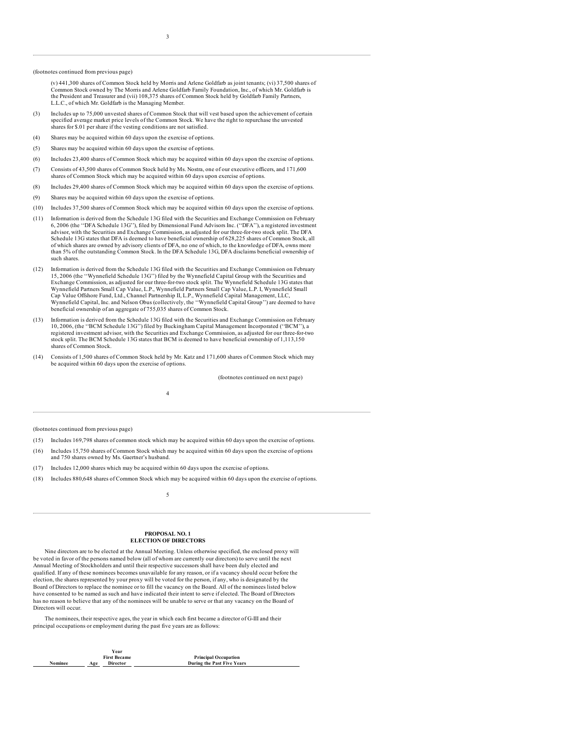#### (footnotes continued from previous page)

(v) 441,300 shares of Common Stock held by Morris and Arlene Goldfarb as joint tenants; (vi) 37,500 shares of Common Stock owned by The Morris and Arlene Goldfarb Family Foundation, Inc., of which Mr. Goldfarb is the President and Treasurer and (vii) 108,375 shares of Common Stock held by Goldfarb Family Partners, L.L.C., of which Mr. Goldfarb is the Managing Member.

- (3) Includes up to 75,000 unvested shares of Common Stock that will vest based upon the achievement of certain specified average market price levels of the Common Stock. We have the right to repurchase the unvested shares for \$.01 per share if the vesting conditions are not satisfied.
- (4) Shares may be acquired within 60 days upon the exercise of options.
- (5) Shares may be acquired within 60 days upon the exercise of options.
- (6) Includes 23,400 shares of Common Stock which may be acquired within 60 days upon the exercise of options.
- (7) Consists of 43,500 shares of Common Stock held by Ms. Nostra, one of our executive officers, and 171,600 shares of Common Stock which may be acquired within 60 days upon exercise of options.
- (8) Includes 29,400 shares of Common Stock which may be acquired within 60 days upon the exercise of options.
- (9) Shares may be acquired within 60 days upon the exercise of options.
- (10) Includes 37,500 shares of Common Stock which may be acquired within 60 days upon the exercise of options.
- (11) Information is derived from the Schedule 13G filed with the Securities and Exchange Commission on February 6, 2006 (the ''DFA Schedule 13G''), filed by Dimensional Fund Advisors Inc. (''DFA''), a registered investment advisor, with the Securities and Exchange Commission, as adjusted for our three-for-two stock split. The DFA Schedule 13G states that DFA is deemed to have beneficial ownership of 628,225 shares of Common Stock, all of which shares are owned by advisory clients of DFA, no one of which, to the knowledge of DFA, owns more than 5% of the outstanding Common Stock. In the DFA Schedule 13G, DFA disclaims beneficial ownership of such shares.
- (12) Information is derived from the Schedule 13G filed with the Securities and Exchange Commission on February 15, 2006 (the ''Wynnefield Schedule 13G'') filed by the Wynnefield Capital Group with the Securities and Exchange Commission, as adjusted for our three-for-two stock split. The Wynnefield Schedule 13G states that Wynnefield Partners Small Cap Value, L.P., Wynnefield Partners Small Cap Value, L.P. I, Wynnefield Small Cap Value Offshore Fund, Ltd., Channel Partnership II, L.P., Wynnefield Capital Management, LLC, Wynnefield Capital, Inc. and Nelson Obus (collectively, the ''Wynnefield Capital Group'') are deemed to have beneficial ownership of an aggregate of 755,035 shares of Common Stock.
- (13) Information is derived from the Schedule 13G filed with the Securities and Exchange Commission on February 10, 2006, (the ''BCM Schedule 13G'') filed by Buckingham Capital Management Incorporated (''BCM''), a registered investment advisor, with the Securities and Exchange Commission, as adjusted for our three-for-two stock split. The BCM Schedule 13G states that BCM is deemed to have beneficial ownership of 1,113,150 shares of Common Stock.
- (14) Consists of 1,500 shares of Common Stock held by Mr. Katz and 171,600 shares of Common Stock which may be acquired within 60 days upon the exercise of options.

4

(footnotes continued on next page)

(footnotes continued from previous page)

- (15) Includes 169,798 shares of common stock which may be acquired within 60 days upon the exercise of options.
- (16) Includes 15,750 shares of Common Stock which may be acquired within 60 days upon the exercise of options and 750 shares owned by Ms. Gaertner's husband.
- (17) Includes 12,000 shares which may be acquired within 60 days upon the exercise of options.
- (18) Includes 880,648 shares of Common Stock which may be acquired within 60 days upon the exercise of options.

## 5

### **PROPOSAL NO. 1 ELECTION OF DIRECTORS**

Nine directors are to be elected at the Annual Meeting. Unless otherwise specified, the enclosed proxy will be voted in favor of the persons named below (all of whom are currently our directors) to serve until the next Annual Meeting of Stockholders and until their respective successors shall have been duly elected and qualified. If any of these nominees becomes unavailable for any reason, or if a vacancy should occur before the election, the shares represented by your proxy will be voted for the person, if any, who is designated by the Board of Directors to replace the nominee or to fill the vacancy on the Board. All of the nominees listed below have consented to be named as such and have indicated their intent to serve if elected. The Board of Directors has no reason to believe that any of the nominees will be unable to serve or that any vacancy on the Board of Directors will occur.

The nominees, their respective ages, the year in which each first became a director of G-III and their principal occupations or employment during the past five years are as follows:

|                | Year                   |                             |
|----------------|------------------------|-----------------------------|
|                | <b>First Became</b>    | <b>Principal Occupation</b> |
| <b>Nominee</b> | <b>Director</b><br>Age | During the Past Five Years  |
|                |                        |                             |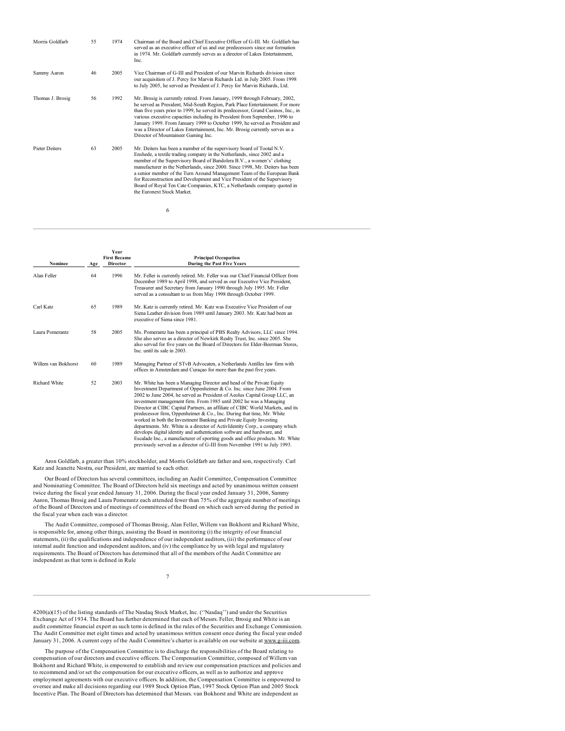| Morris Goldfarb       | 55 | 1974 | Chairman of the Board and Chief Executive Officer of G-III. Mr. Goldfarb has<br>served as an executive officer of us and our predecessors since our formation<br>in 1974. Mr. Goldfarb currently serves as a director of Lakes Entertainment,<br>Inc.                                                                                                                                                                                                                                                                                                                       |
|-----------------------|----|------|-----------------------------------------------------------------------------------------------------------------------------------------------------------------------------------------------------------------------------------------------------------------------------------------------------------------------------------------------------------------------------------------------------------------------------------------------------------------------------------------------------------------------------------------------------------------------------|
| Sammy Aaron           | 46 | 2005 | Vice Chairman of G-III and President of our Marvin Richards division since<br>our acquisition of J. Percy for Marvin Richards Ltd. in July 2005. From 1998<br>to July 2005, he served as President of J. Percy for Marvin Richards, Ltd.                                                                                                                                                                                                                                                                                                                                    |
| Thomas J. Brosig      | 56 | 1992 | Mr. Brosig is currently retired. From January, 1999 through February, 2002,<br>he served as President, Mid-South Region, Park Place Entertainment. For more<br>than five years prior to 1999, he served its predecessor, Grand Casinos, Inc., in<br>various executive capacities including its President from September, 1996 to<br>January 1999. From January 1999 to October 1999, he served as President and<br>was a Director of Lakes Entertainment, Inc. Mr. Brosig currently serves as a<br>Director of Mountaineer Gaming Inc.                                      |
| <b>Pieter Deiters</b> | 63 | 2005 | Mr. Deiters has been a member of the supervisory board of Tootal N.V.<br>Enshede, a textile trading company in the Netherlands, since 2002 and a<br>member of the Supervisory Board of Bandolera B.V., a women's' clothing<br>manufacturer in the Netherlands, since 2000. Since 1998, Mr. Deiters has been<br>a senior member of the Turn Around Management Team of the European Bank<br>for Reconstruction and Development and Vice President of the Supervisory<br>Board of Royal Ten Cate Companies, KTC, a Netherlands company quoted in<br>the Euronext Stock Market. |

6

| Nominee              | Age | <b>Year</b><br><b>First Became</b><br><b>Director</b> | <b>Principal Occupation</b><br><b>During the Past Five Years</b>                                                                                                                                                                                                                                                                                                                                                                                                                                                                                                                                                                                                                                                                                                                                                                                             |
|----------------------|-----|-------------------------------------------------------|--------------------------------------------------------------------------------------------------------------------------------------------------------------------------------------------------------------------------------------------------------------------------------------------------------------------------------------------------------------------------------------------------------------------------------------------------------------------------------------------------------------------------------------------------------------------------------------------------------------------------------------------------------------------------------------------------------------------------------------------------------------------------------------------------------------------------------------------------------------|
| Alan Feller          | 64  | 1996                                                  | Mr. Feller is currently retired. Mr. Feller was our Chief Financial Officer from<br>December 1989 to April 1998, and served as our Executive Vice President,<br>Treasurer and Secretary from January 1990 through July 1995. Mr. Feller<br>served as a consultant to us from May 1998 through October 1999.                                                                                                                                                                                                                                                                                                                                                                                                                                                                                                                                                  |
| Carl Katz            | 65  | 1989                                                  | Mr. Katz is currently retired. Mr. Katz was Executive Vice President of our<br>Siena Leather division from 1989 until January 2003. Mr. Katz had been an<br>executive of Siena since 1981.                                                                                                                                                                                                                                                                                                                                                                                                                                                                                                                                                                                                                                                                   |
| Laura Pomerantz      | 58  | 2005                                                  | Ms. Pomerantz has been a principal of PBS Realty Advisors, LLC since 1994.<br>She also serves as a director of Newkirk Realty Trust, Inc. since 2005. She<br>also served for five years on the Board of Directors for Elder-Beerman Stores,<br>Inc. until its sale in 2003.                                                                                                                                                                                                                                                                                                                                                                                                                                                                                                                                                                                  |
| Willem van Bokhorst  | 60  | 1989                                                  | Managing Partner of STvB Advocaten, a Netherlands Antilles law firm with<br>offices in Amsterdam and Curaçao for more than the past five years.                                                                                                                                                                                                                                                                                                                                                                                                                                                                                                                                                                                                                                                                                                              |
| <b>Richard White</b> | 52  | 2003                                                  | Mr. White has been a Managing Director and head of the Private Equity<br>Investment Department of Oppenheimer & Co. Inc. since June 2004. From<br>2002 to June 2004, he served as President of Aeolus Capital Group LLC, an<br>investment management firm. From 1985 until 2002 he was a Managing<br>Director at CIBC Capital Partners, an affiliate of CIBC World Markets, and its<br>predecessor firm, Oppenheimer & Co., Inc. During that time, Mr. White<br>worked in both the Investment Banking and Private Equity Investing<br>departments. Mr. White is a director of ActivIdentity Corp., a company which<br>develops digital identity and authentication software and hardware, and<br>Escalade Inc., a manufacturer of sporting goods and office products. Mr. White<br>previously served as a director of G-III from November 1991 to July 1993. |

Aron Goldfarb, a greater than 10% stockholder, and Morris Goldfarb are father and son, respectively. Carl Katz and Jeanette Nostra, our President, are married to each other.

Our Board of Directors has several committees, including an Audit Committee, Compensation Committee and Nominating Committee. The Board of Directors held six meetings and acted by unanimous written consent twice during the fiscal year ended January 31, 2006. During the fiscal year ended January 31, 2006, Sammy Aaron, Thomas Brosig and Laura Pomerantz each attended fewer than 75% of the aggregate number of meetings of the Board of Directors and of meetings of committees of the Board on which each served during the period in the fiscal year when each was a director.

The Audit Committee, composed of Thomas Brosig, Alan Feller, Willem van Bokhorst and Richard White, is responsible for, among other things, assisting the Board in monitoring (i) the integrity of our financial statements, (ii) the qualifications and independence of our independent auditors, (iii) the performance of our internal audit function and independent auditors, and (iv) the compliance by us with legal and regulatory requirements. The Board of Directors has determined that all of the members of the Audit Committee are independent as that term is defined in Rule

7

4200(a)(15) of the listing standards of The Nasdaq Stock Market, Inc. (''Nasdaq'') and under the Securities Exchange Act of 1934. The Board has further determined that each of Messrs. Feller, Brosig and White is an audit committee financial expert as such term is defined in the rules of the Securities and Exchange Commission. The Audit Committee met eight times and acted by unanimous written consent once during the fiscal year ended January 31, 2006. A current copy of the Audit Committee's charter is available on our website at www.g-iii.com.

The purpose of the Compensation Committee is to discharge the responsibilities of the Board relating to compensation of our directors and executive officers. The Compensation Committee, composed of Willem van Bokhorst and Richard White, is empowered to establish and review our compensation practices and policies and to recommend and/or set the compensation for our executive officers, as well as to authorize and approve employment agreements with our executive officers. In addition, the Compensation Committee is empowered to oversee and make all decisions regarding our 1989 Stock Option Plan, 1997 Stock Option Plan and 2005 Stock Incentive Plan. The Board of Directors has determined that Messrs. van Bokhorst and White are independent as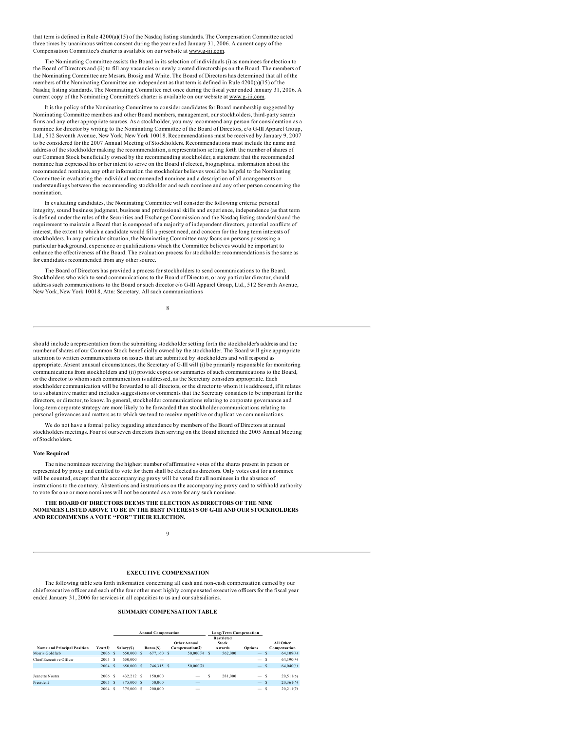that term is defined in Rule 4200(a)(15) of the Nasdaq listing standards. The Compensation Committee acted three times by unanimous written consent during the year ended January 31, 2006. A current copy of the Compensation Committee's charter is available on our website at www.g-iii.com.

The Nominating Committee assists the Board in its selection of individuals (i) as nominees for election to the Board of Directors and (ii) to fill any vacancies or newly created directorships on the Board. The members of the Nominating Committee are Messrs. Brosig and White. The Board of Directors has determined that all of the members of the Nominating Committee are independent as that term is defined in Rule 4200(a)(15) of the Nasdaq listing standards. The Nominating Committee met once during the fiscal year ended January 31, 2006. A current copy of the Nominating Committee's charter is available on our website at www.g-iii.com.

It is the policy of the Nominating Committee to consider candidates for Board membership suggested by Nominating Committee members and other Board members, management, our stockholders, third-party search firms and any other appropriate sources. As a stockholder, you may recommend any person for consideration as a nominee for director by writing to the Nominating Committee of the Board of Directors, c/o G-III Apparel Group, Ltd., 512 Seventh Avenue, New York, New York 10018. Recommendations must be received by January 9, 2007 to be considered for the 2007 Annual Meeting of Stockholders. Recommendations must include the name and address of the stockholder making the recommendation, a representation setting forth the number of shares of our Common Stock beneficially owned by the recommending stockholder, a statement that the recommended nominee has expressed his or her intent to serve on the Board if elected, biographical information about the recommended nominee, any other information the stockholder believes would be helpful to the Nominating Committee in evaluating the individual recommended nominee and a description of all arrangements or understandings between the recommending stockholder and each nominee and any other person concerning the nomination.

In evaluating candidates, the Nominating Committee will consider the following criteria: personal integrity, sound business judgment, business and professional skills and experience, independence (as that term is defined under the rules of the Securities and Exchange Commission and the Nasdaq listing standards) and the requirement to maintain a Board that is composed of a majority of independent directors, potential conflicts of interest, the extent to which a candidate would fill a present need, and concern for the long term interests of stockholders. In any particular situation, the Nominating Committee may focus on persons possessing a particular background, experience or qualifications which the Committee believes would be important to enhance the effectiveness of the Board. The evaluation process for stockholder recommendations is the same as for candidates recommended from any other source.

The Board of Directors has provided a process for stockholders to send communications to the Board. Stockholders who wish to send communications to the Board of Directors, or any particular director, should address such communications to the Board or such director c/o G-III Apparel Group, Ltd., 512 Seventh Avenue, New York, New York 10018, Attn: Secretary. All such communications

8

should include a representation from the submitting stockholder setting forth the stockholder's address and the number of shares of our Common Stock beneficially owned by the stockholder. The Board will give appropriate attention to written communications on issues that are submitted by stockholders and will respond as appropriate. Absent unusual circumstances, the Secretary of G-III will (i) be primarily responsible for monitoring communications from stockholders and (ii) provide copies or summaries of such communications to the Board, or the director to whom such communication is addressed, as the Secretary considers appropriate. Each stockholder communication will be forwarded to all directors, or the director to whom it is addressed, if it relates to a substantive matter and includes suggestions or comments that the Secretary considers to be important for the directors, or director, to know. In general, stockholder communications relating to corporate governance and long-term corporate strategy are more likely to be forwarded than stockholder communications relating to personal grievances and matters as to which we tend to receive repetitive or duplicative communications.

We do not have a formal policy regarding attendance by members of the Board of Directors at annual stockholders meetings. Four of our seven directors then serving on the Board attended the 2005 Annual Meeting of Stockholders.

### **Vote Required**

The nine nominees receiving the highest number of affirmative votes of the shares present in person or represented by proxy and entitled to vote for them shall be elected as directors. Only votes cast for a nominee will be counted, except that the accompanying proxy will be voted for all nominees in the absence of instructions to the contrary. Abstentions and instructions on the accompanying proxy card to withhold authority to vote for one or more nominees will not be counted as a vote for any such nominee.

**THE BOARD OF DIRECTORS DEEMS THE ELECTION AS DIRECTORS OF THE NINE NOMINEES LISTED ABOVE TO BE IN THE BEST INTERESTS OF G-III AND OUR STOCKHOLDERS AND RECOMMENDS A VOTE ''FOR'' THEIR ELECTION.**

### 9

# **EXECUTIVE COMPENSATION**

The following table sets forth information concerning all cash and non-cash compensation earned by our chief executive officer and each of the four other most highly compensated executive officers for the fiscal year ended January 31, 2006 for services in all capacities to us and our subsidiaries.

### **SUMMARY COMPENSATION TABLE**

|                                    |         |   |            | <b>Annual Compensation</b> |                                 | <b>Long-Term Compensation</b>               |                          |   |                           |
|------------------------------------|---------|---|------------|----------------------------|---------------------------------|---------------------------------------------|--------------------------|---|---------------------------|
| <b>Name and Principal Position</b> | Year(1) |   | Salary(\$) | Bonus(\$)                  | Other Annual<br>Compensation(2) | <b>Restricted</b><br><b>Stock</b><br>Awards | Options                  |   | All Other<br>Compensation |
| Morris Goldfarb                    | 2006    | S | 650,000 \$ | 677,160 S                  | 50,000(3)                       | 562,000                                     | $\overline{\phantom{a}}$ |   | 64.109(4)                 |
| Chief Executive Officer            | 2005 S  |   | 650,000    | -                          | $\overline{\phantom{a}}$        |                                             | $\overline{\phantom{a}}$ | s | 64.190(4)                 |
|                                    | 2004    | S | 650,000 S  | 746.315 S                  | 50,000(3)                       |                                             | $\overline{\phantom{a}}$ | S | 64,040(4)                 |
| <b>Jeanette Nostra</b>             | 2006    | s | 432.212 S  | 150,000                    | -                               | 281.000                                     | $\hspace{0.05cm}$        | s | 20.511(5)                 |
| President                          | 2005    | S | 375,000 S  | 50,000                     | $\overline{\phantom{a}}$        |                                             | $\overline{\phantom{a}}$ | S | 20.361(5)                 |
|                                    | 2004    |   | 375,000 S  | 200,000                    | $\overline{\phantom{a}}$        |                                             | $\overline{\phantom{a}}$ |   | 20.211(5)                 |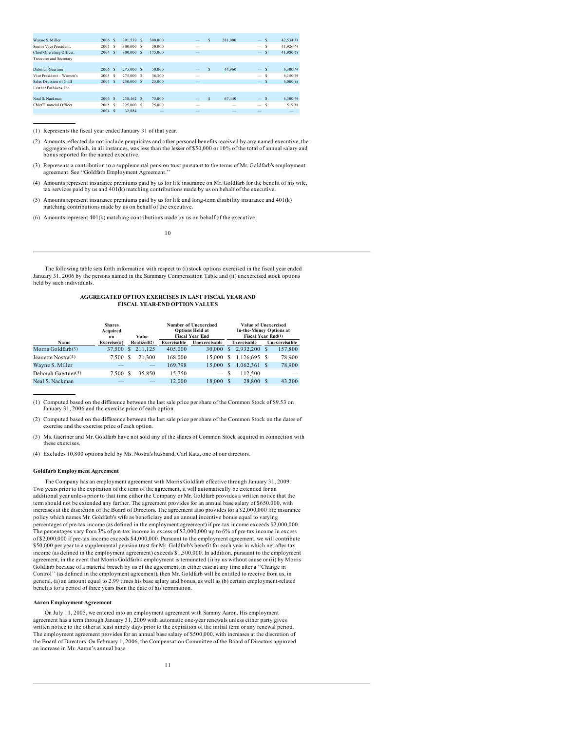| Wayne S. Miller                | 2006 S     | 391.539 S | 300,000 | $\overline{\phantom{a}}$ | s | 281,000 | <sub>S</sub><br>$\overline{\phantom{a}}$ | 42.534(5)                |
|--------------------------------|------------|-----------|---------|--------------------------|---|---------|------------------------------------------|--------------------------|
| Senior Vice President.         | 2005 S     | 300,000 S | 50,000  | $\overline{\phantom{a}}$ |   |         | s<br>$\hspace{0.1mm}-\hspace{0.1mm}$     | 41.926(5)                |
| Chief Operating Officer,       | 2004<br>S  | 300,000 S | 175,000 | $\overline{\phantom{a}}$ |   |         | S<br>$\overline{\phantom{a}}$            | 41,980(5)                |
| <b>Treasurer and Secretary</b> |            |           |         |                          |   |         |                                          |                          |
|                                |            |           |         |                          |   |         |                                          |                          |
| Deborah Gaertner               | 2006 S     | 275,000 S | 50,000  | $\overline{\phantom{a}}$ | s | 44.960  | -S<br>$\qquad \qquad =\qquad$            | 6,300(6)                 |
| Vice President - Women's       | 2005<br>s  | 275,000 S | 36,300  | -                        |   |         | s<br>$\overline{\phantom{a}}$            | 6.150(6)                 |
| Sales Division of G-III        | 2004<br>-S | 250,000 S | 25,000  | -                        |   |         | -S<br>$\overline{\phantom{a}}$           | 6,000(6)                 |
| Leather Fashions, Inc.         |            |           |         |                          |   |         |                                          |                          |
|                                |            |           |         |                          |   |         |                                          |                          |
| Neal S. Nackman                | 2006 S     | 238,462 S | 75,000  | $\qquad \qquad -$        | s | 67,440  | -S<br>$\overline{\phantom{m}}$           | 6,300(6)                 |
| Chief Financial Officer        | s<br>2005  | 225,000 S | 25,000  | $\overline{\phantom{a}}$ |   | -       | s<br>$\hspace{0.05cm}$                   | 519(6)                   |
|                                | 2004<br>s  | 32.884    |         | $\overline{\phantom{a}}$ |   |         |                                          | $\overline{\phantom{a}}$ |

(1) Represents the fiscal year ended January 31 of that year.

(2) Amounts reflected do not include perquisites and other personal benefits received by any named executive, the aggregate of which, in all instances, was less than the lesser of \$50,000 or 10% of the total of annual salary and bonus reported for the named executive.

(3) Represents a contribution to a supplemental pension trust pursuant to the terms of Mr. Goldfarb's employment agreement. See ''Goldfarb Employment Agreement.''

(4) Amounts represent insurance premiums paid by us for life insurance on Mr. Goldfarb for the benefit of his wife, tax services paid by us and 401(k) matching contributions made by us on behalf of the executive.

(5) Amounts represent insurance premiums paid by us for life and long-term disability insurance and 401(k) matching contributions made by us on behalf of the executive.

(6) Amounts represent 401(k) matching contributions made by us on behalf of the executive.

10

The following table sets forth information with respect to (i) stock options exercised in the fiscal year ended January 31, 2006 by the persons named in the Summary Compensation Table and (ii) unexercised stock options held by such individuals.

### **AGGREGATED OPTION EXERCISES IN LAST FISCAL YEAR AND FISCAL YEAR-END OPTION VALUES**

|                       | <b>Shares</b><br>Acquired<br>on |    | Value                    |             | Number of Unexercised<br><b>Options Held at</b><br><b>Fiscal Year End</b> |    | Value of Unexercised<br><b>In-the-Money Options at</b><br>Fiscal Year End(1) |    |                          |
|-----------------------|---------------------------------|----|--------------------------|-------------|---------------------------------------------------------------------------|----|------------------------------------------------------------------------------|----|--------------------------|
| Name                  | Exercise (#)                    |    | Realized(2)              | Exercisable | Unexercisable                                                             |    | Exercisable                                                                  |    | Unexercisable            |
| Morris Goldfarb $(3)$ | 37.500                          | -S | 211.125                  | 405,000     | 30,000                                                                    | s  | 2.932.200                                                                    | S  | 157,800                  |
| Jeanette Nostra(4)    | 7.500 \$                        |    | 21,300                   | 168,000     | 15,000                                                                    | s  | 1.126.695                                                                    | -S | 78,900                   |
| Wayne S. Miller       |                                 |    | $\overline{\phantom{a}}$ | 169,798     | 15,000                                                                    | \$ | 1,062,361                                                                    | S  | 78,900                   |
| Deborah Gaertner(3)   | 7.500 \$                        |    | 35,850                   | 15.750      |                                                                           | S  | 112.500                                                                      |    | $\overline{\phantom{a}}$ |
| Neal S. Nackman       | _                               |    | _                        | 12,000      | 18,000                                                                    | \$ | 28,800                                                                       | S  | 43,200                   |

(1) Computed based on the difference between the last sale price per share of the Common Stock of \$9.53 on January 31, 2006 and the exercise price of each option.

(2) Computed based on the difference between the last sale price per share of the Common Stock on the dates of exercise and the exercise price of each option.

(3) Ms. Gaertner and Mr. Goldfarb have not sold any of the shares of Common Stock acquired in connection with these exercises.

(4) Excludes 10,800 options held by Ms. Nostra's husband, Carl Katz, one of our directors.

### **Goldfarb Employment Agreement**

The Company has an employment agreement with Morris Goldfarb effective through January 31, 2009. Two years prior to the expiration of the term of the agreement, it will automatically be extended for an additional year unless prior to that time either the Company or Mr. Goldfarb provides a written notice that the term should not be extended any further. The agreement provides for an annual base salary of \$650,000, with increases at the discretion of the Board of Directors. The agreement also provides for a \$2,000,000 life insurance policy which names Mr. Goldfarb's wife as beneficiary and an annual incentive bonus equal to varying percentages of pre-tax income (as defined in the employment agreement) if pre-tax income exceeds \$2,000,000. The percentages vary from 3% of pre-tax income in excess of \$2,000,000 up to 6% of pre-tax income in excess of \$2,000,000 if pre-tax income exceeds \$4,000,000. Pursuant to the employment agreement, we will contribute \$50,000 per year to a supplemental pension trust for Mr. Goldfarb's benefit for each year in which net after-tax income (as defined in the employment agreement) exceeds \$1,500,000. In addition, pursuant to the employment agreement, in the event that Morris Goldfarb's employment is terminated (i) by us without cause or (ii) by Morris Goldfarb because of a material breach by us of the agreement, in either case at any time after a ''Change in Control'' (as defined in the employment agreement), then Mr. Goldfarb will be entitled to receive from us, in general, (a) an amount equal to 2.99 times his base salary and bonus, as well as (b) certain employment-related benefits for a period of three years from the date of his termination.

## **Aaron Employment Agreement**

On July 11, 2005, we entered into an employment agreement with Sammy Aaron. His employment agreement has a term through January 31, 2009 with automatic one-year renewals unless either party gives written notice to the other at least ninety days prior to the expiration of the initial term or any renewal period. The employment agreement provides for an annual base salary of \$500,000, with increases at the discretion of the Board of Directors. On February 1, 2006, the Compensation Committee of the Board of Directors approved an increase in Mr. Aaron's annual base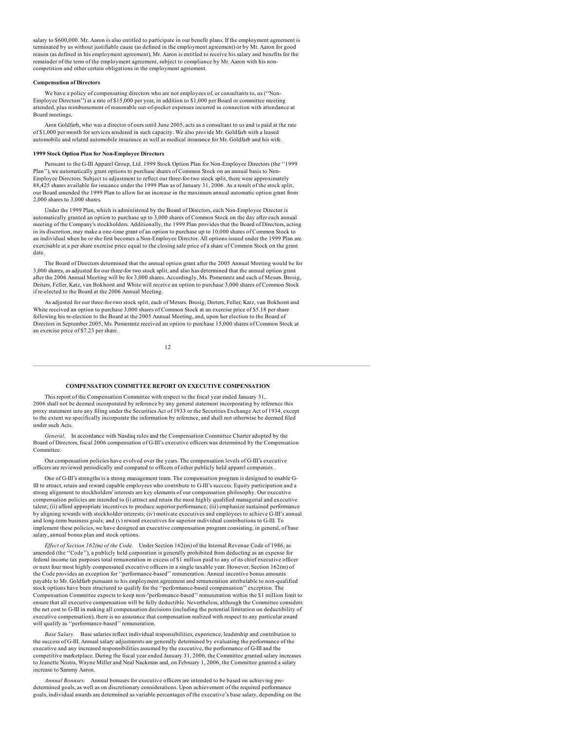salary to \$600,000. Mr. Aaron is also entitled to participate in our benefit plans. If the employment agreement is terminated by us without justifiable cause (as defined in the employment agreement) or by Mr. Aaron for good reason (as defined in his employment agreement), Mr. Aaron is entitled to receive his salary and benefits for the remainder of the term of the employment agreement, subject to compliance by Mr. Aaron with his noncompetition and other certain obligations in the employment agreement.

#### **Compensation of Directors**

We have a policy of compensating directors who are not employees of, or consultants to, us (''Non-Employee Directors'') at a rate of \$15,000 per year, in addition to \$1,000 per Board or committee meeting attended, plus reimbursement of reasonable out-of-pocket expenses incurred in connection with attendance at Board meetings.

Aron Goldfarb, who was a director of ours until June 2005, acts as a consultant to us and is paid at the rate of \$1,000 per month for services rendered in such capacity. We also provide Mr. Goldfarb with a leased automobile and related automobile insurance as well as medical insurance for Mr. Goldfarb and his wife.

### **1999 Stock Option Plan for Non-Employee Directors**

Pursuant to the G-III Apparel Group, Ltd. 1999 Stock Option Plan for Non-Employee Directors (the ''1999 Plan''), we automatically grant options to purchase shares of Common Stock on an annual basis to Non-Employee Directors. Subject to adjustment to reflect our three-for-two stock split, there were approximately 88,425 shares available for issuance under the 1999 Plan as of January 31, 2006. As a result of the stock split, our Board amended the 1999 Plan to allow for an increase in the maximum annual automatic option grant from 2,000 shares to 3,000 shares.

Under the 1999 Plan, which is administered by the Board of Directors, each Non-Employee Director is automatically granted an option to purchase up to 3,000 shares of Common Stock on the day after each annual meeting of the Company's stockholders. Additionally, the 1999 Plan provides that the Board of Directors, acting in its discretion, may make a one-time grant of an option to purchase up to 10,000 shares of Common Stock to an individual when he or she first becomes a Non-Employee Director. All options issued under the 1999 Plan are exercisable at a per share exercise price equal to the closing sale price of a share of Common Stock on the grant date.

The Board of Directors determined that the annual option grant after the 2005 Annual Meeting would be for 3,000 shares, as adjusted for our three-for two stock split, and also has determined that the annual option grant after the 2006 Annual Meeting will be for 3,000 shares. Accordingly, Ms. Pomerantz and each of Messrs. Brosig, Deiters, Feller, Katz, van Bokhorst and White will receive an option to purchase 3,000 shares of Common Stock if re-elected to the Board at the 2006 Annual Meeting.

As adjusted for our three-for-two stock split, each of Messrs. Brosig, Dieters, Feller, Katz, van Bokhorst and White received an option to purchase 3,000 shares of Common Stock at an exercise price of \$5.18 per share following his re-election to the Board at the 2005 Annual Meeting, and, upon her election to the Board of Directors in September 2005, Ms. Pomerantz received an option to purchase 15,000 shares of Common Stock at an exercise price of \$7.23 per share.

12

#### **COMPENSATION COMMITTEE REPORT ON EXECUTIVE COMPENSATION**

This report of the Compensation Committee with respect to the fiscal year ended January 31, 2006 shall not be deemed incorporated by reference by any general statement incorporating by reference this proxy statement into any filing under the Securities Act of 1933 or the Securities Exchange Act of 1934, except to the extent we specifically incorporate the information by reference, and shall not otherwise be deemed filed under such Acts.

*General.* In accordance with Nasdaq rules and the Compensation Committee Charter adopted by the Board of Directors, fiscal 2006 compensation of G-III's executive officers was determined by the Compensation Committee.

Our compensation policies have evolved over the years. The compensation levels of G-III's executive officers are reviewed periodically and compared to officers of other publicly held apparel companies.

One of G-III's strengths is a strong management team. The compensation program is designed to enable G-III to attract, retain and reward capable employees who contribute to G-III's success. Equity participation and a strong alignment to stockholders' interests are key elements of our compensation philosophy. Our executive compensation policies are intended to (i) attract and retain the most highly qualified managerial and executive talent; (ii) afford appropriate incentives to produce superior performance; (iii) emphasize sustained performance by aligning rewards with stockholder interests; (iv) motivate executives and employees to achieve G-III's annual and long-term business goals; and (v) reward executives for superior individual contributions to G-III. To implement these policies, we have designed an executive compensation program consisting, in general, of base salary, annual bonus plan and stock options.

*Ef ect of Section 162(m) of the Code.* Under Section 162(m) of the Internal Revenue Code of 1986, as amended (the ''Code''), a publicly held corporation is generally prohibited from deducting as an expense for federal income tax purposes total remuneration in excess of \$1 million paid to any of its chief executive officer or next four most highly compensated executive officers in a single taxable year. However, Section 162(m) of the Code provides an exception for ''performance-based'' remuneration. Annual incentive bonus amounts payable to Mr. Goldfarb pursuant to his employment agreement and remuneration attributable to non-qualified stock options have been structured to qualify for the "performance-based compensation" exception. The Compensation Committee expects to keep non-"performance-based'' remuneration within the \$1 million limit to ensure that all executive compensation will be fully deductible. Nevertheless, although the Committee considers the net cost to G-III in making all compensation decisions (including the potential limitation on deductibility of executive compensation), there is no assurance that compensation realized with respect to any particular award will qualify as ''performance-based'' remuneration.

*Base Salary.* Base salaries reflect individual responsibilities, experience, leadership and contribution to the success of G-III. Annual salary adjustments are generally determined by evaluating the performance of the executive and any increased responsibilities assumed by the executive, the performance of G-III and the competitive marketplace. During the fiscal year ended January 31, 2006, the Committee granted salary increases to Jeanette Nostra, Wayne Miller and Neal Nackman and, on February 1, 2006, the Committee granted a salary increase to Sammy Aaron.

*Annual Bonuses.* Annual bonuses for executive officers are intended to be based on achieving predetermined goals, as well as on discretionary considerations. Upon achievement of the required performance goals, individual awards are determined as variable percentages of the executive's base salary, depending on the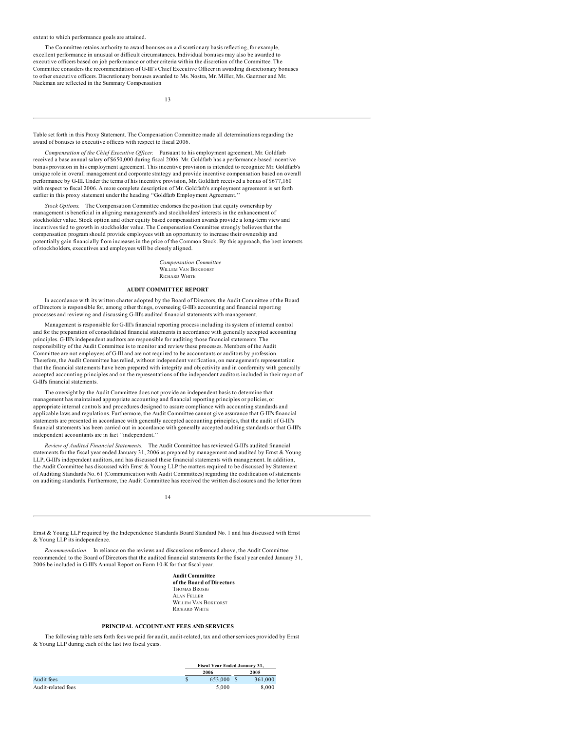### extent to which performance goals are attained.

The Committee retains authority to award bonuses on a discretionary basis reflecting, for example, excellent performance in unusual or difficult circumstances. Individual bonuses may also be awarded to executive officers based on job performance or other criteria within the discretion of the Committee. The Committee considers the recommendation of G-III's Chief Executive Officer in awarding discretionary bonuses to other executive officers. Discretionary bonuses awarded to Ms. Nostra, Mr. Miller, Ms. Gaertner and Mr. Nackman are reflected in the Summary Compensation

13

Table set forth in this Proxy Statement. The Compensation Committee made all determinations regarding the award of bonuses to executive officers with respect to fiscal 2006.

*Compensation of the Chief Executive Of icer.* Pursuant to his employment agreement, Mr. Goldfarb received a base annual salary of \$650,000 during fiscal 2006. Mr. Goldfarb has a performance-based incentive bonus provision in his employment agreement. This incentive provision is intended to recognize Mr. Goldfarb's unique role in overall management and corporate strategy and provide incentive compensation based on overall performance by G-III. Under the terms of his incentive provision, Mr. Goldfarb received a bonus of \$677,160 with respect to fiscal 2006. A more complete description of Mr. Goldfarb's employment agreement is set forth earlier in this proxy statement under the heading "Goldfarb Employment Agreement.

*Stock Options.* The Compensation Committee endorses the position that equity ownership by management is beneficial in aligning management's and stockholders' interests in the enhancement of stockholder value. Stock option and other equity based compensation awards provide a long-term view and incentives tied to growth in stockholder value. The Compensation Committee strongly believes that the compensation program should provide employees with an opportunity to increase their ownership and potentially gain financially from increases in the price of the Common Stock. By this approach, the best interests of stockholders, executives and employees will be closely aligned.

> *Compensation Committee* WILLEM VAN BOKHORST RICHARD WHITE

#### **AUDIT COMMITTEE REPORT**

In accordance with its written charter adopted by the Board of Directors, the Audit Committee of the Board of Directors is responsible for, among other things, overseeing G-III's accounting and financial reporting processes and reviewing and discussing G-III's audited financial statements with management.

Management is responsible for G-III's financial reporting process including its system of internal control and for the preparation of consolidated financial statements in accordance with generally accepted accounting principles. G-III's independent auditors are responsible for auditing those financial statements. The responsibility of the Audit Committee is to monitor and review these processes. Members of the Audit Committee are not employees of G-III and are not required to be accountants or auditors by profession. Therefore, the Audit Committee has relied, without independent verification, on management's representation that the financial statements have been prepared with integrity and objectivity and in conformity with generally accepted accounting principles and on the representations of the independent auditors included in their report of G-III's financial statements.

The oversight by the Audit Committee does not provide an independent basis to determine that management has maintained appropriate accounting and financial reporting principles or policies, or appropriate internal controls and procedures designed to assure compliance with accounting standards and applicable laws and regulations. Furthermore, the Audit Committee cannot give assurance that G-III's financial statements are presented in accordance with generally accepted accounting principles, that the audit of G-III's financial statements has been carried out in accordance with generally accepted auditing standards or that G-III's independent accountants are in fact ''independent.''

*Review of Audited Financial Statements.* The Audit Committee has reviewed G-III's audited financial statements for the fiscal year ended January 31, 2006 as prepared by management and audited by Ernst & Young LLP, G-III's independent auditors, and has discussed these financial statements with management. In addition, the Audit Committee has discussed with Ernst & Young LLP the matters required to be discussed by Statement of Auditing Standards No. 61 (Communication with Audit Committees) regarding the codification of statements on auditing standards. Furthermore, the Audit Committee has received the written disclosures and the letter from

14

Ernst & Young LLP required by the Independence Standards Board Standard No. 1 and has discussed with Ernst & Young LLP its independence.

*Recommendation.* In reliance on the reviews and discussions referenced above, the Audit Committee recommended to the Board of Directors that the audited financial statements for the fiscal year ended January 31, 2006 be included in G-III's Annual Report on Form 10-K for that fiscal year.

> **Audit Committee of the Board of Directors** THOMAS BROSIG ALAN FELLER WILLEM VAN BOKHORST RICHARD WHITE

## **PRINCIPAL ACCOUNTANT FEES AND SERVICES**

The following table sets forth fees we paid for audit, audit-related, tax and other services provided by Ernst & Young LLP during each of the last two fiscal years.

|                    | Fiscal Year Ended January 31, |         |
|--------------------|-------------------------------|---------|
|                    | 2006                          | 2005    |
| Audit fees         | 653,000                       | 361,000 |
| Audit-related fees | 5.000                         | 8.000   |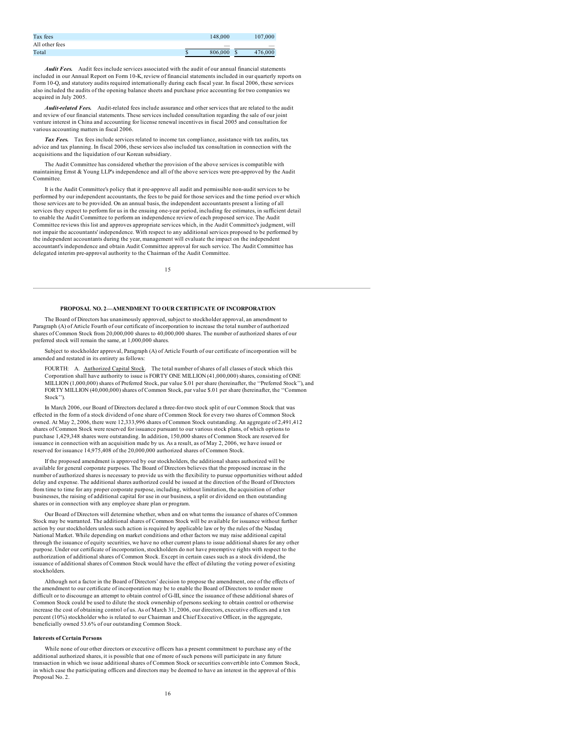| Tax fees       | 148,000                  | 107,000      |
|----------------|--------------------------|--------------|
| All other fees | $\overline{\phantom{a}}$ |              |
| Total          | 806,000                  | 476,000<br>ъ |

*Audit Fees.* Audit fees include services associated with the audit of our annual financial statements included in our Annual Report on Form 10-K, review of financial statements included in our quarterly reports on Form 10-Q, and statutory audits required internationally during each fiscal year. In fiscal 2006, these services also included the audits of the opening balance sheets and purchase price accounting for two companies we acquired in July 2005.

*Audit-related Fees.* Audit-related fees include assurance and other services that are related to the audit and review of our financial statements. These services included consultation regarding the sale of our joint venture interest in China and accounting for license renewal incentives in fiscal 2005 and consultation for various accounting matters in fiscal 2006.

*Tax Fees.* Tax fees include services related to income tax compliance, assistance with tax audits, tax advice and tax planning. In fiscal 2006, these services also included tax consultation in connection with the acquisitions and the liquidation of our Korean subsidiary.

The Audit Committee has considered whether the provision of the above services is compatible with maintaining Ernst & Young LLP's independence and all of the above services were pre-approved by the Audit Committee.

It is the Audit Committee's policy that it pre-approve all audit and permissible non-audit services to be performed by our independent accountants, the fees to be paid for those services and the time period over which those services are to be provided. On an annual basis, the independent accountants present a listing of all services they expect to perform for us in the ensuing one-year period, including fee estimates, in sufficient detail to enable the Audit Committee to perform an independence review of each proposed service. The Audit Committee reviews this list and approves appropriate services which, in the Audit Committee's judgment, will not impair the accountants' independence. With respect to any additional services proposed to be performed by the independent accountants during the year, management will evaluate the impact on the independent accountant's independence and obtain Audit Committee approval for such service. The Audit Committee has delegated interim pre-approval authority to the Chairman of the Audit Committee.

15

### **PROPOSAL NO. 2—AMENDMENT TO OUR CERTIFICATE OF INCORPORATION**

The Board of Directors has unanimously approved, subject to stockholder approval, an amendment to Paragraph (A) of Article Fourth of our certificate of incorporation to increase the total number of authorized shares of Common Stock from 20,000,000 shares to 40,000,000 shares. The number of authorized shares of our preferred stock will remain the same, at 1,000,000 shares.

Subject to stockholder approval, Paragraph (A) of Article Fourth of our certificate of incorporation will be amended and restated in its entirety as follows:

FOURTH: A. Authorized Capital Stock. The total number of shares of all classes of stock which this Corporation shall have authority to issue is FORTY ONE MILLION (41,000,000) shares, consisting of ONE MILLION (1,000,000) shares of Preferred Stock, par value \$.01 per share (hereinafter, the ''Preferred Stock''), and FORTY MILLION (40,000,000) shares of Common Stock, par value \$.01 per share (hereinafter, the ''Common Stock'').

In March 2006, our Board of Directors declared a three-for-two stock split of our Common Stock that was effected in the form of a stock dividend of one share of Common Stock for every two shares of Common Stock owned. At May 2, 2006, there were 12,333,996 shares of Common Stock outstanding. An aggregate of 2,491,412 shares of Common Stock were reserved for issuance pursuant to our various stock plans, of which options to purchase 1,429,348 shares were outstanding. In addition, 150,000 shares of Common Stock are reserved for issuance in connection with an acquisition made by us. As a result, as of May 2, 2006, we have issued or reserved for issuance 14,975,408 of the 20,000,000 authorized shares of Common Stock.

If the proposed amendment is approved by our stockholders, the additional shares authorized will be available for general corporate purposes. The Board of Directors believes that the proposed increase in the number of authorized shares is necessary to provide us with the flexibility to pursue opportunities without added delay and expense. The additional shares authorized could be issued at the direction of the Board of Directors from time to time for any proper corporate purpose, including, without limitation, the acquisition of other businesses, the raising of additional capital for use in our business, a split or dividend on then outstanding shares or in connection with any employee share plan or program.

Our Board of Directors will determine whether, when and on what terms the issuance of shares of Common Stock may be warranted. The additional shares of Common Stock will be available for issuance without further action by our stockholders unless such action is required by applicable law or by the rules of the Nasdaq National Market. While depending on market conditions and other factors we may raise additional capital through the issuance of equity securities, we have no other current plans to issue additional shares for any other purpose. Under our certificate of incorporation, stockholders do not have preemptive rights with respect to the authorization of additional shares of Common Stock. Except in certain cases such as a stock dividend, the issuance of additional shares of Common Stock would have the effect of diluting the voting power of existing stockholders.

Although not a factor in the Board of Directors' decision to propose the amendment, one of the effects of the amendment to our certificate of incorporation may be to enable the Board of Directors to render more difficult or to discourage an attempt to obtain control of G-III, since the issuance of these additional shares of Common Stock could be used to dilute the stock ownership of persons seeking to obtain control or otherwise increase the cost of obtaining control of us. As of March 31, 2006, our directors, executive officers and a ten percent (10%) stockholder who is related to our Chairman and Chief Executive Officer, in the aggregate, **beneficially owned 53.6% of our outstanding Common Stock.** 

### **Interests of Certain Persons**

While none of our other directors or executive officers has a present commitment to purchase any of the additional authorized shares, it is possible that one of more of such persons will participate in any future transaction in which we issue additional shares of Common Stock or securities convertible into Common Stock, in which case the participating officers and directors may be deemed to have an interest in the approval of this Proposal No. 2.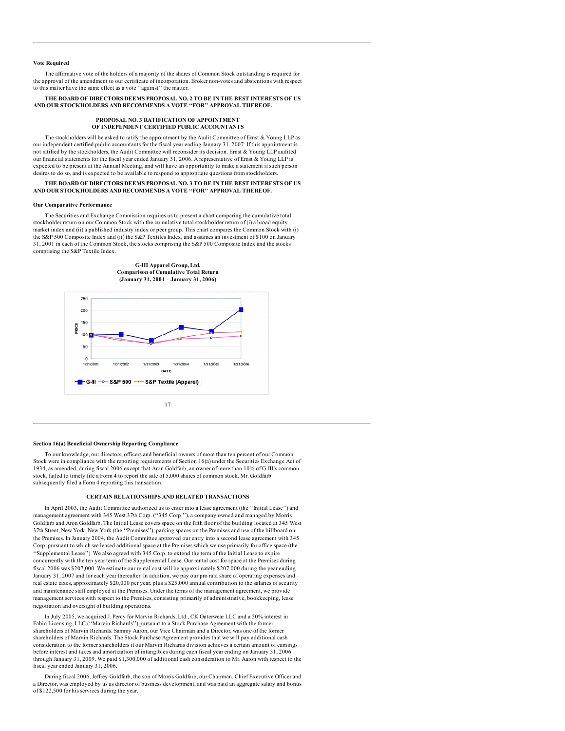### **Vote Required**

The affirmative vote of the holders of a majority of the shares of Common Stock outstanding is required for the approval of the amendment to our certificate of incorporation. Broker non-votes and abstentions with respect to this matter have the same effect as a vote ''against'' the matter.

### **THE BOARD OF DIRECTORS DEEMS PROPOSAL NO. 2 TO BE IN THE BEST INTERESTS OF US AND OUR STOCKHOLDERS AND RECOMMENDS A VOTE ''FOR'' APPROVAL THEREOF.**

#### **PROPOSAL NO. 3 RATIFICATION OF APPOINTMENT OF INDEPENDENT CERTIFIED PUBLIC ACCOUNTANTS**

The stockholders will be asked to ratify the appointment by the Audit Committee of Ernst & Young LLP as our independent certified public accountants for the fiscal year ending January 31, 2007. If this appointment is not ratified by the stockholders, the Audit Committee will reconsider its decision. Ernst & Young LLP audited our financial statements for the fiscal year ended January 31, 2006. A representative of Ernst & Young LLP is expected to be present at the Annual Meeting, and will have an opportunity to make a statement if such person desires to do so, and is expected to be available to respond to appropriate questions from stockholders.

### **THE BOARD OF DIRECTORS DEEMS PROPOSAL NO. 3 TO BE IN THE BEST INTERESTS OF US AND OUR STOCKHOLDERS AND RECOMMENDS A VOTE ''FOR'' APPROVAL THEREOF.**

#### **Our Comparative Performance**

The Securities and Exchange Commission requires us to present a chart comparing the cumulative total stockholder return on our Common Stock with the cumulative total stockholder return of (i) a broad equity market index and (ii) a published industry index or peer group. This chart compares the Common Stock with (i) the S&P 500 Composite Index and (ii) the S&P Textiles Index, and assumes an investment of \$100 on January 31, 2001 in each of the Common Stock, the stocks comprising the S&P 500 Composite Index and the stocks comprising the S&P Textile Index.



#### **Section 16(a) Beneficial Ownership Reporting Compliance**

To our knowledge, our directors, officers and beneficial owners of more than ten percent of our Common Stock were in compliance with the reporting requirements of Section 16(a) under the Securities Exchange Act of 1934, as amended, during fiscal 2006 except that Aron Goldfarb, an owner of more than 10% of G-III's common stock, failed to timely file a Form 4 to report the sale of 5,000 shares of common stock. Mr. Goldfarb subsequently filed a Form 4 reporting this transaction.

## **CERTAIN RELATIONSHIPS AND RELATED TRANSACTIONS**

In April 2003, the Audit Committee authorized us to enter into a lease agreement (the ''Initial Lease'') and management agreement with 345 West 37th Corp. (''345 Corp.''), a company owned and managed by Morris Goldfarb and Aron Goldfarb. The Initial Lease covers space on the fifth floor of the building located at 345 West 37th Street, New York, New York (the ''Premises''), parking spaces on the Premises and use of the billboard on the Premises. In January 2004, the Audit Committee approved our entry into a second lease agreement with 345 Corp. pursuant to which we leased additional space at the Premises which we use primarily for office space (the ''Supplemental Lease''). We also agreed with 345 Corp. to extend the term of the Initial Lease to expire concurrently with the ten year term of the Supplemental Lease. Our rental cost for space at the Premises during fiscal 2006 was \$207,000. We estimate our rental cost will be approximately \$207,000 during the year ending January 31, 2007 and for each year thereafter. In addition, we pay our pro rata share of operating expenses and real estate taxes, approximately \$20,000 per year, plus a \$25,000 annual contribution to the salaries of security and maintenance staff employed at the Premises. Under the terms of the management agreement, we provide management services with respect to the Premises, consisting primarily of administrative, bookkeeping, lease negotiation and oversight of building operations.

In July 2005, we acquired J. Percy for Marvin Richards, Ltd., CK Outerwear LLC and a 50% interest in Fabio Licensing, LLC (''Marvin Richards'') pursuant to a Stock Purchase Agreement with the former shareholders of Marvin Richards. Sammy Aaron, our Vice Chairman and a Director, was one of the former shareholders of Marvin Richards. The Stock Purchase Agreement provides that we will pay additional cash consideration to the former shareholders if our Marvin Richards division achieves a certain amount of earnings before interest and taxes and amortization of intangibles during each fiscal year ending on January 31, 2006 through January 31, 2009. We paid \$1,300,000 of additional cash consideration to Mr. Aaron with respect to the fiscal year ended January 31, 2006.

During fiscal 2006, Jeffrey Goldfarb, the son of Morris Goldfarb, our Chairman, Chief Executive Officer and a Director, was employed by us as director of business development, and was paid an aggregate salary and bonus of \$122,500 for his services during the year.